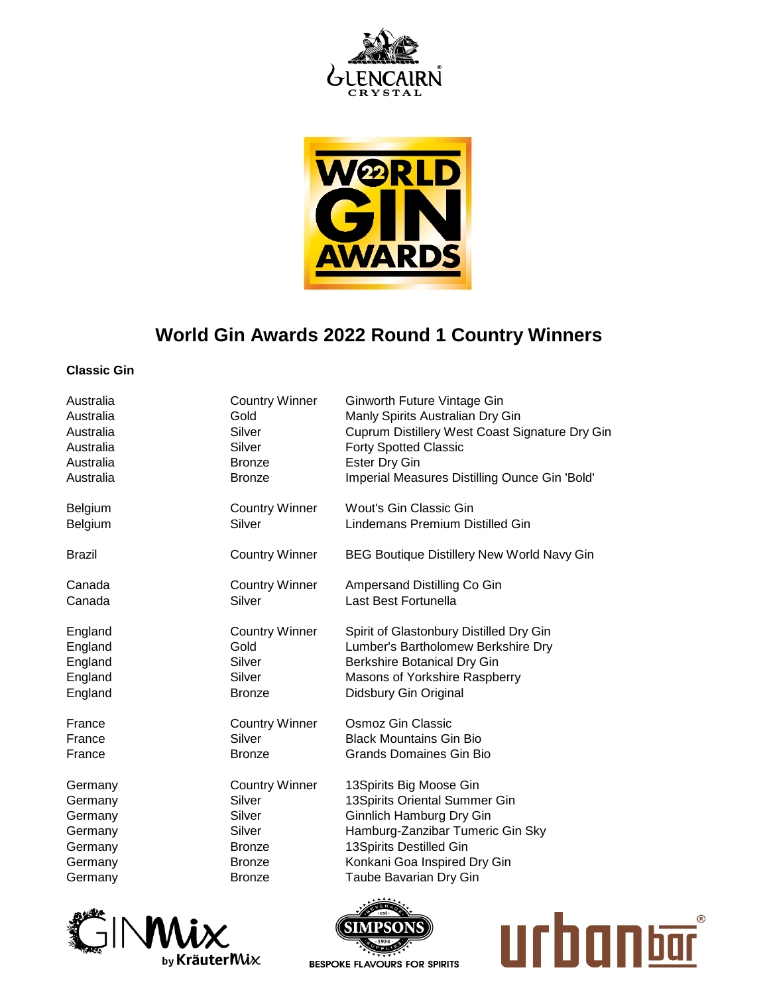



## **World Gin Awards 2022 Round 1 Country Winners**

## **Classic Gin**

| Australia     | <b>Country Winner</b> | Ginworth Future Vintage Gin                       |
|---------------|-----------------------|---------------------------------------------------|
| Australia     | Gold                  | Manly Spirits Australian Dry Gin                  |
| Australia     | Silver                | Cuprum Distillery West Coast Signature Dry Gin    |
| Australia     | Silver                | <b>Forty Spotted Classic</b>                      |
| Australia     | <b>Bronze</b>         | <b>Ester Dry Gin</b>                              |
| Australia     | <b>Bronze</b>         | Imperial Measures Distilling Ounce Gin 'Bold'     |
| Belgium       | <b>Country Winner</b> | Wout's Gin Classic Gin                            |
| Belgium       | Silver                | Lindemans Premium Distilled Gin                   |
| <b>Brazil</b> | <b>Country Winner</b> | <b>BEG Boutique Distillery New World Navy Gin</b> |
| Canada        | <b>Country Winner</b> | Ampersand Distilling Co Gin                       |
| Canada        | Silver                | Last Best Fortunella                              |
| England       | <b>Country Winner</b> | Spirit of Glastonbury Distilled Dry Gin           |
| England       | Gold                  | Lumber's Bartholomew Berkshire Dry                |
| England       | Silver                | Berkshire Botanical Dry Gin                       |
| England       | Silver                | Masons of Yorkshire Raspberry                     |
| England       | <b>Bronze</b>         | Didsbury Gin Original                             |
| France        | <b>Country Winner</b> | Osmoz Gin Classic                                 |
| France        | Silver                | <b>Black Mountains Gin Bio</b>                    |
| France        | <b>Bronze</b>         | Grands Domaines Gin Bio                           |
| Germany       | <b>Country Winner</b> | 13Spirits Big Moose Gin                           |
| Germany       | Silver                | 13Spirits Oriental Summer Gin                     |
| Germany       | Silver                | <b>Ginnlich Hamburg Dry Gin</b>                   |
| Germany       | Silver                | Hamburg-Zanzibar Tumeric Gin Sky                  |
| Germany       | Bronze                | 13Spirits Destilled Gin                           |
| Germany       | <b>Bronze</b>         | Konkani Goa Inspired Dry Gin                      |
| Germany       | <b>Bronze</b>         | Taube Bavarian Dry Gin                            |





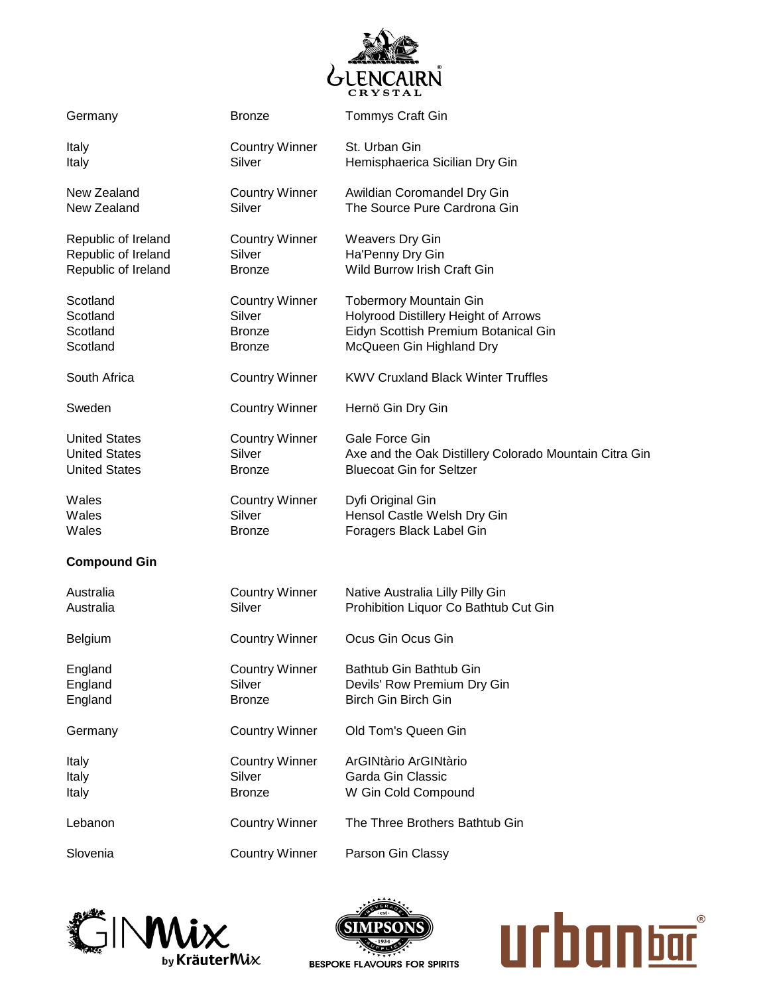

| Germany              | <b>Bronze</b>         | <b>Tommys Craft Gin</b>                                |
|----------------------|-----------------------|--------------------------------------------------------|
| Italy                | <b>Country Winner</b> | St. Urban Gin                                          |
| Italy                | Silver                | Hemisphaerica Sicilian Dry Gin                         |
| New Zealand          | <b>Country Winner</b> | Awildian Coromandel Dry Gin                            |
| New Zealand          | Silver                | The Source Pure Cardrona Gin                           |
| Republic of Ireland  | <b>Country Winner</b> | <b>Weavers Dry Gin</b>                                 |
| Republic of Ireland  | Silver                | Ha'Penny Dry Gin                                       |
| Republic of Ireland  | <b>Bronze</b>         | Wild Burrow Irish Craft Gin                            |
| Scotland             | <b>Country Winner</b> | <b>Tobermory Mountain Gin</b>                          |
| Scotland             | Silver                | Holyrood Distillery Height of Arrows                   |
| Scotland             | <b>Bronze</b>         | Eidyn Scottish Premium Botanical Gin                   |
| Scotland             | <b>Bronze</b>         | McQueen Gin Highland Dry                               |
| South Africa         | <b>Country Winner</b> | <b>KWV Cruxland Black Winter Truffles</b>              |
| Sweden               | <b>Country Winner</b> | Hernö Gin Dry Gin                                      |
| <b>United States</b> | <b>Country Winner</b> | Gale Force Gin                                         |
| <b>United States</b> | Silver                | Axe and the Oak Distillery Colorado Mountain Citra Gin |
| <b>United States</b> | <b>Bronze</b>         | <b>Bluecoat Gin for Seltzer</b>                        |
| Wales                | <b>Country Winner</b> | Dyfi Original Gin                                      |
| Wales                | Silver                | Hensol Castle Welsh Dry Gin                            |
| Wales                | <b>Bronze</b>         | Foragers Black Label Gin                               |
| <b>Compound Gin</b>  |                       |                                                        |
| Australia            | <b>Country Winner</b> | Native Australia Lilly Pilly Gin                       |
| Australia            | Silver                | Prohibition Liquor Co Bathtub Cut Gin                  |
| Belgium              | <b>Country Winner</b> | Ocus Gin Ocus Gin                                      |
| England              | <b>Country Winner</b> | Bathtub Gin Bathtub Gin                                |
| England              | Silver                | Devils' Row Premium Dry Gin                            |
| England              | <b>Bronze</b>         | Birch Gin Birch Gin                                    |
| Germany              | <b>Country Winner</b> | Old Tom's Queen Gin                                    |
| Italy                | <b>Country Winner</b> | ArGINtàrio ArGINtàrio                                  |
| Italy                | Silver                | Garda Gin Classic                                      |
| Italy                | <b>Bronze</b>         | W Gin Cold Compound                                    |
| Lebanon              | <b>Country Winner</b> | The Three Brothers Bathtub Gin                         |
| Slovenia             | <b>Country Winner</b> | Parson Gin Classy                                      |





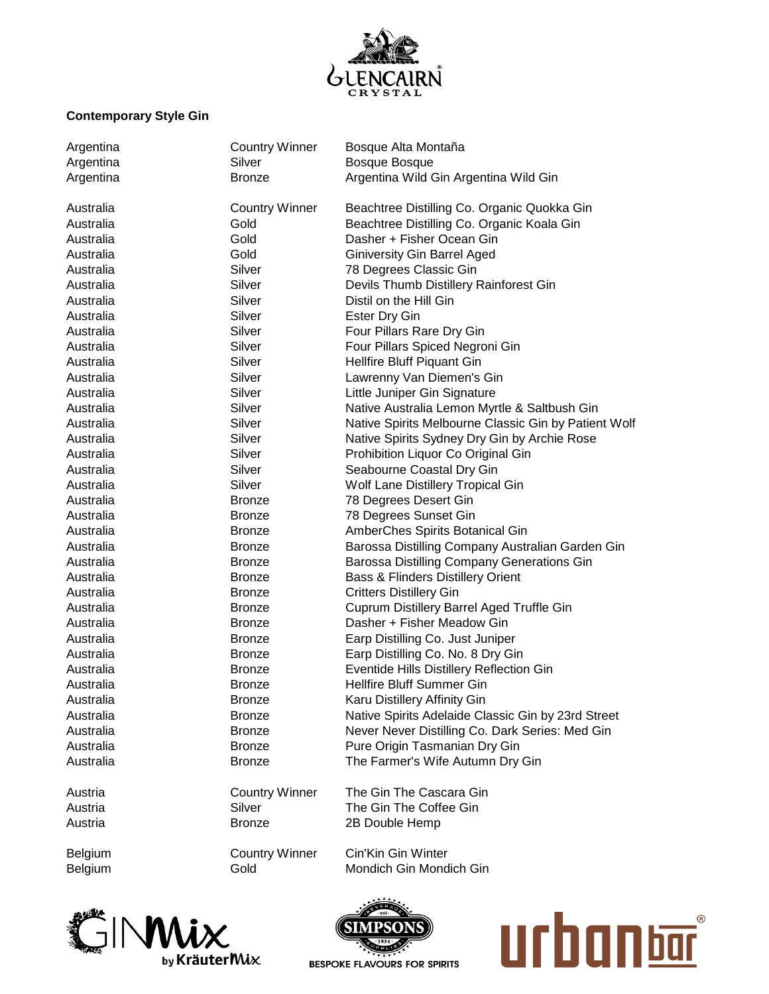

## **Contemporary Style Gin**

| Argentina      | <b>Country Winner</b> | Bosque Alta Montaña                                                   |
|----------------|-----------------------|-----------------------------------------------------------------------|
| Argentina      | Silver                | <b>Bosque Bosque</b>                                                  |
| Argentina      | <b>Bronze</b>         | Argentina Wild Gin Argentina Wild Gin                                 |
| Australia      | <b>Country Winner</b> | Beachtree Distilling Co. Organic Quokka Gin                           |
|                |                       |                                                                       |
| Australia      | Gold                  | Beachtree Distilling Co. Organic Koala Gin                            |
| Australia      | Gold                  | Dasher + Fisher Ocean Gin                                             |
| Australia      | Gold                  | <b>Giniversity Gin Barrel Aged</b>                                    |
| Australia      | Silver                | 78 Degrees Classic Gin                                                |
| Australia      | Silver                | Devils Thumb Distillery Rainforest Gin                                |
| Australia      | Silver                | Distil on the Hill Gin                                                |
| Australia      | Silver                | <b>Ester Dry Gin</b>                                                  |
| Australia      | Silver                | Four Pillars Rare Dry Gin                                             |
| Australia      | Silver                | Four Pillars Spiced Negroni Gin                                       |
| Australia      | Silver                | Hellfire Bluff Piquant Gin                                            |
| Australia      | Silver                | Lawrenny Van Diemen's Gin                                             |
| Australia      | Silver                | Little Juniper Gin Signature                                          |
| Australia      | Silver                | Native Australia Lemon Myrtle & Saltbush Gin                          |
| Australia      | Silver                | Native Spirits Melbourne Classic Gin by Patient Wolf                  |
| Australia      | Silver                | Native Spirits Sydney Dry Gin by Archie Rose                          |
| Australia      | Silver                | Prohibition Liquor Co Original Gin                                    |
| Australia      | Silver                | Seabourne Coastal Dry Gin                                             |
| Australia      | Silver                | Wolf Lane Distillery Tropical Gin                                     |
| Australia      | <b>Bronze</b>         | 78 Degrees Desert Gin                                                 |
| Australia      | <b>Bronze</b>         | 78 Degrees Sunset Gin                                                 |
| Australia      | <b>Bronze</b>         | AmberChes Spirits Botanical Gin                                       |
| Australia      | <b>Bronze</b>         | Barossa Distilling Company Australian Garden Gin                      |
| Australia      | <b>Bronze</b>         | Barossa Distilling Company Generations Gin                            |
| Australia      | <b>Bronze</b>         | Bass & Flinders Distillery Orient                                     |
| Australia      | <b>Bronze</b>         | <b>Critters Distillery Gin</b>                                        |
| Australia      | <b>Bronze</b>         | Cuprum Distillery Barrel Aged Truffle Gin                             |
| Australia      | <b>Bronze</b>         | Dasher + Fisher Meadow Gin                                            |
| Australia      | <b>Bronze</b>         | Earp Distilling Co. Just Juniper                                      |
|                |                       | Earp Distilling Co. No. 8 Dry Gin                                     |
| Australia      | <b>Bronze</b>         |                                                                       |
| Australia      | <b>Bronze</b>         | Eventide Hills Distillery Reflection Gin<br>Hellfire Bluff Summer Gin |
| Australia      | <b>Bronze</b>         |                                                                       |
| Australia      | <b>Bronze</b>         | Karu Distillery Affinity Gin                                          |
| Australia      | <b>Bronze</b>         | Native Spirits Adelaide Classic Gin by 23rd Street                    |
| Australia      | <b>Bronze</b>         | Never Never Distilling Co. Dark Series: Med Gin                       |
| Australia      | <b>Bronze</b>         | Pure Origin Tasmanian Dry Gin                                         |
| Australia      | <b>Bronze</b>         | The Farmer's Wife Autumn Dry Gin                                      |
| Austria        | <b>Country Winner</b> | The Gin The Cascara Gin                                               |
| Austria        | Silver                | The Gin The Coffee Gin                                                |
| Austria        | <b>Bronze</b>         | 2B Double Hemp                                                        |
| <b>Belgium</b> | <b>Country Winner</b> | Cin'Kin Gin Winter                                                    |
| Belgium        | Gold                  | Mondich Gin Mondich Gin                                               |
|                |                       |                                                                       |





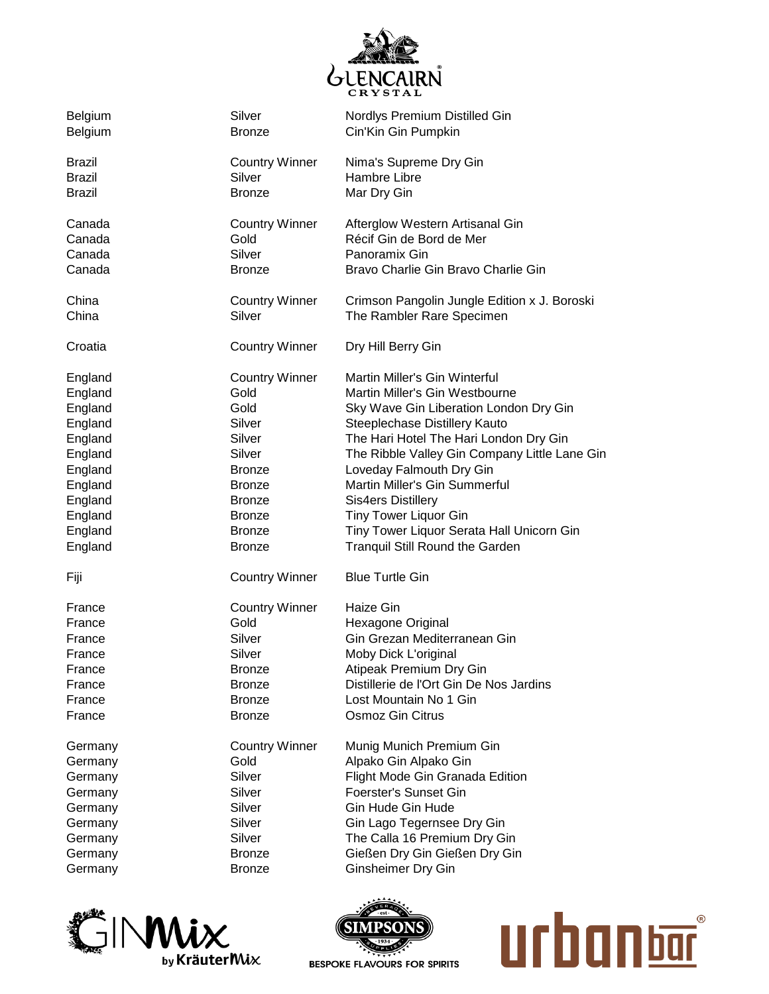

| Belgium       | Silver                | Nordlys Premium Distilled Gin                 |
|---------------|-----------------------|-----------------------------------------------|
| Belgium       | <b>Bronze</b>         | Cin'Kin Gin Pumpkin                           |
| <b>Brazil</b> | <b>Country Winner</b> | Nima's Supreme Dry Gin                        |
| <b>Brazil</b> | Silver                | Hambre Libre                                  |
| <b>Brazil</b> | <b>Bronze</b>         | Mar Dry Gin                                   |
| Canada        | <b>Country Winner</b> | Afterglow Western Artisanal Gin               |
| Canada        | Gold                  | Récif Gin de Bord de Mer                      |
| Canada        | Silver                | Panoramix Gin                                 |
| Canada        | <b>Bronze</b>         | Bravo Charlie Gin Bravo Charlie Gin           |
| China         | <b>Country Winner</b> | Crimson Pangolin Jungle Edition x J. Boroski  |
| China         | Silver                | The Rambler Rare Specimen                     |
| Croatia       | <b>Country Winner</b> | Dry Hill Berry Gin                            |
| England       | <b>Country Winner</b> | Martin Miller's Gin Winterful                 |
| England       | Gold                  | Martin Miller's Gin Westbourne                |
| England       | Gold                  | Sky Wave Gin Liberation London Dry Gin        |
| England       | Silver                | Steeplechase Distillery Kauto                 |
| England       | Silver                | The Hari Hotel The Hari London Dry Gin        |
| England       | Silver                | The Ribble Valley Gin Company Little Lane Gin |
| England       | Bronze                | Loveday Falmouth Dry Gin                      |
| England       | Bronze                | Martin Miller's Gin Summerful                 |
| England       | Bronze                | <b>Sis4ers Distillery</b>                     |
| England       | Bronze                | <b>Tiny Tower Liquor Gin</b>                  |
| England       | <b>Bronze</b>         | Tiny Tower Liquor Serata Hall Unicorn Gin     |
| England       | <b>Bronze</b>         | <b>Tranquil Still Round the Garden</b>        |
| Fiji          | <b>Country Winner</b> | <b>Blue Turtle Gin</b>                        |
| France        | <b>Country Winner</b> | Haize Gin                                     |
| France        | Gold                  | Hexagone Original                             |
| France        | Silver                | Gin Grezan Mediterranean Gin                  |
| France        | Silver                | Moby Dick L'original                          |
| France        | Bronze                | Atipeak Premium Dry Gin                       |
| France        | Bronze                | Distillerie de l'Ort Gin De Nos Jardins       |
| France        | <b>Bronze</b>         | Lost Mountain No 1 Gin                        |
| France        | <b>Bronze</b>         | <b>Osmoz Gin Citrus</b>                       |
| Germany       | <b>Country Winner</b> | Munig Munich Premium Gin                      |
| Germany       | Gold                  | Alpako Gin Alpako Gin                         |
| Germany       | Silver                | Flight Mode Gin Granada Edition               |
| Germany       | Silver                | Foerster's Sunset Gin                         |
| Germany       | Silver                | Gin Hude Gin Hude                             |
| Germany       | Silver                | Gin Lago Tegernsee Dry Gin                    |
| Germany       | Silver                | The Calla 16 Premium Dry Gin                  |
| Germany       | <b>Bronze</b>         | Gießen Dry Gin Gießen Dry Gin                 |
| Germany       | <b>Bronze</b>         | <b>Ginsheimer Dry Gin</b>                     |





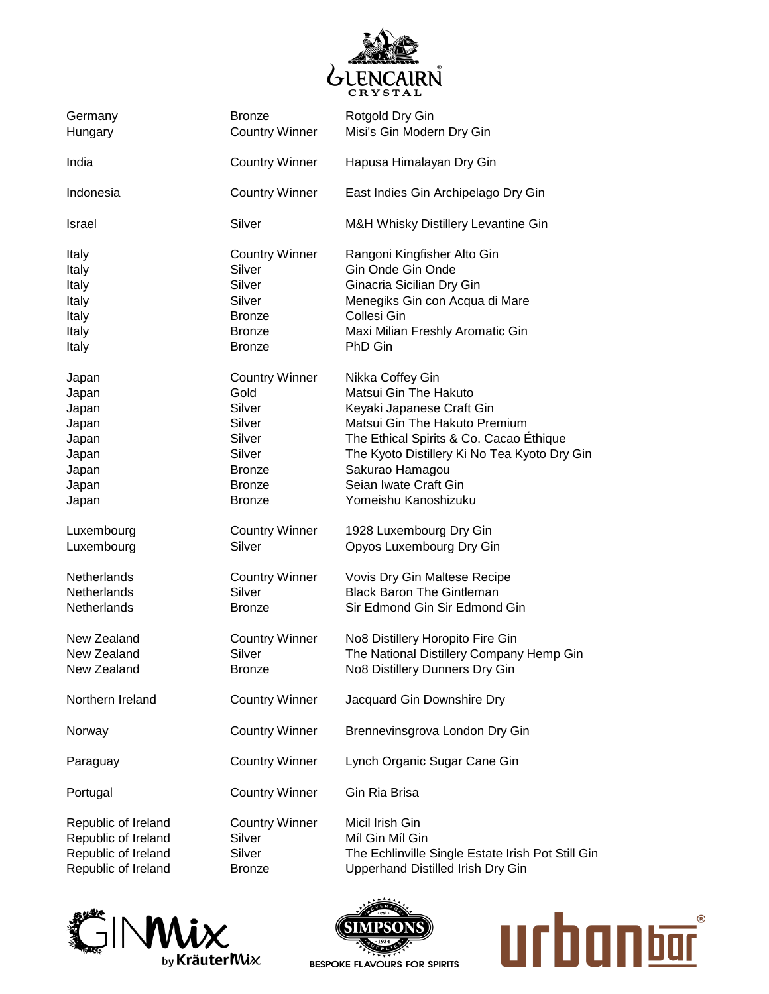

| Germany             | <b>Bronze</b>         | Rotgold Dry Gin                                   |
|---------------------|-----------------------|---------------------------------------------------|
| Hungary             | <b>Country Winner</b> | Misi's Gin Modern Dry Gin                         |
| India               | <b>Country Winner</b> | Hapusa Himalayan Dry Gin                          |
| Indonesia           | <b>Country Winner</b> | East Indies Gin Archipelago Dry Gin               |
| Israel              | Silver                | M&H Whisky Distillery Levantine Gin               |
| Italy               | <b>Country Winner</b> | Rangoni Kingfisher Alto Gin                       |
| Italy               | Silver                | Gin Onde Gin Onde                                 |
| Italy               | Silver                | Ginacria Sicilian Dry Gin                         |
| Italy               | Silver                | Menegiks Gin con Acqua di Mare                    |
| Italy               | <b>Bronze</b>         | Collesi Gin                                       |
| Italy               | <b>Bronze</b>         | Maxi Milian Freshly Aromatic Gin                  |
| Italy               | <b>Bronze</b>         | PhD Gin                                           |
| Japan               | <b>Country Winner</b> | Nikka Coffey Gin                                  |
| Japan               | Gold                  | Matsui Gin The Hakuto                             |
| Japan               | Silver                | Keyaki Japanese Craft Gin                         |
| Japan               | Silver                | Matsui Gin The Hakuto Premium                     |
| Japan               | Silver                | The Ethical Spirits & Co. Cacao Ethique           |
| Japan               | Silver                | The Kyoto Distillery Ki No Tea Kyoto Dry Gin      |
| Japan               | Bronze                | Sakurao Hamagou                                   |
| Japan               | <b>Bronze</b>         | Seian Iwate Craft Gin                             |
| Japan               | <b>Bronze</b>         | Yomeishu Kanoshizuku                              |
| Luxembourg          | <b>Country Winner</b> | 1928 Luxembourg Dry Gin                           |
| Luxembourg          | Silver                | Opyos Luxembourg Dry Gin                          |
| Netherlands         | <b>Country Winner</b> | Vovis Dry Gin Maltese Recipe                      |
| <b>Netherlands</b>  | Silver                | <b>Black Baron The Gintleman</b>                  |
| <b>Netherlands</b>  | <b>Bronze</b>         | Sir Edmond Gin Sir Edmond Gin                     |
| New Zealand         | <b>Country Winner</b> | No8 Distillery Horopito Fire Gin                  |
| New Zealand         | Silver                | The National Distillery Company Hemp Gin          |
| New Zealand         | Bronze                | No8 Distillery Dunners Dry Gin                    |
| Northern Ireland    | <b>Country Winner</b> | Jacquard Gin Downshire Dry                        |
| Norway              | <b>Country Winner</b> | Brennevinsgrova London Dry Gin                    |
| Paraguay            | <b>Country Winner</b> | Lynch Organic Sugar Cane Gin                      |
| Portugal            | <b>Country Winner</b> | Gin Ria Brisa                                     |
| Republic of Ireland | <b>Country Winner</b> | Micil Irish Gin                                   |
| Republic of Ireland | Silver                | Míl Gin Míl Gin                                   |
| Republic of Ireland | Silver                | The Echlinville Single Estate Irish Pot Still Gin |
| Republic of Ireland | <b>Bronze</b>         | Upperhand Distilled Irish Dry Gin                 |





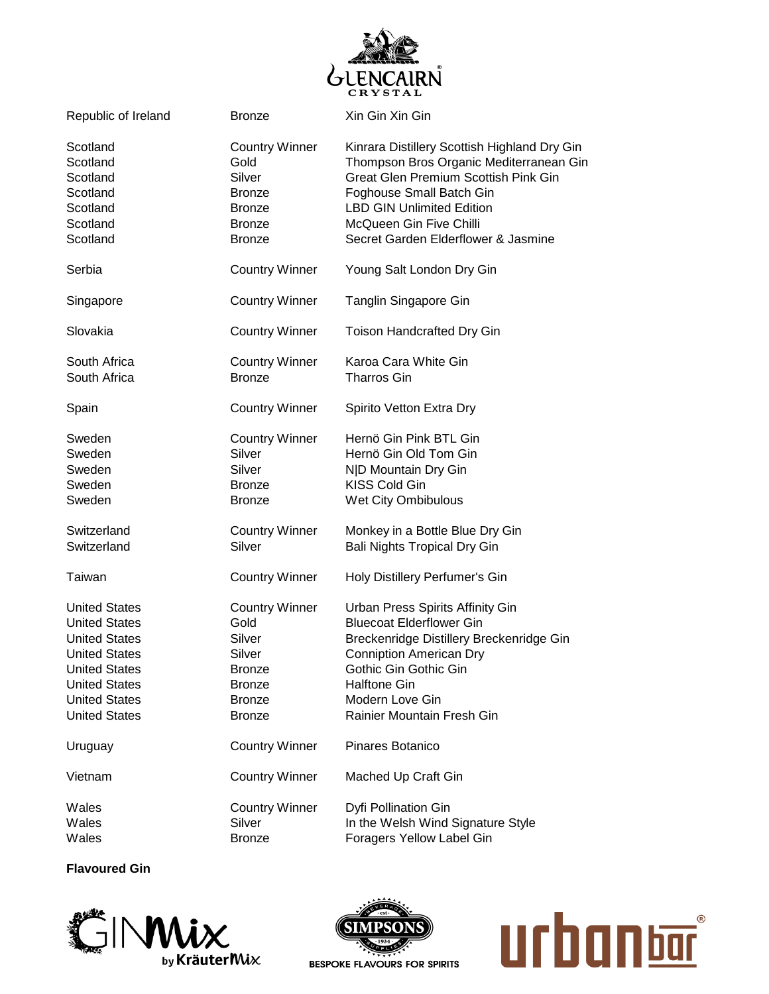

| Republic of Ireland                                                                                                                                                                          | Bronze                                                                                                                | Xin Gin Xin Gin                                                                                                                                                                                                                                                          |
|----------------------------------------------------------------------------------------------------------------------------------------------------------------------------------------------|-----------------------------------------------------------------------------------------------------------------------|--------------------------------------------------------------------------------------------------------------------------------------------------------------------------------------------------------------------------------------------------------------------------|
| Scotland<br>Scotland<br>Scotland<br>Scotland<br>Scotland<br>Scotland<br>Scotland                                                                                                             | <b>Country Winner</b><br>Gold<br>Silver<br><b>Bronze</b><br><b>Bronze</b><br><b>Bronze</b><br><b>Bronze</b>           | Kinrara Distillery Scottish Highland Dry Gin<br>Thompson Bros Organic Mediterranean Gin<br><b>Great Glen Premium Scottish Pink Gin</b><br>Foghouse Small Batch Gin<br><b>LBD GIN Unlimited Edition</b><br>McQueen Gin Five Chilli<br>Secret Garden Elderflower & Jasmine |
| Serbia                                                                                                                                                                                       | <b>Country Winner</b>                                                                                                 | Young Salt London Dry Gin                                                                                                                                                                                                                                                |
| Singapore                                                                                                                                                                                    | <b>Country Winner</b>                                                                                                 | Tanglin Singapore Gin                                                                                                                                                                                                                                                    |
| Slovakia                                                                                                                                                                                     | <b>Country Winner</b>                                                                                                 | <b>Toison Handcrafted Dry Gin</b>                                                                                                                                                                                                                                        |
| South Africa<br>South Africa                                                                                                                                                                 | <b>Country Winner</b><br><b>Bronze</b>                                                                                | Karoa Cara White Gin<br><b>Tharros Gin</b>                                                                                                                                                                                                                               |
| Spain                                                                                                                                                                                        | <b>Country Winner</b>                                                                                                 | Spirito Vetton Extra Dry                                                                                                                                                                                                                                                 |
| Sweden<br>Sweden<br>Sweden<br>Sweden<br>Sweden                                                                                                                                               | <b>Country Winner</b><br>Silver<br>Silver<br>Bronze<br><b>Bronze</b>                                                  | Hernö Gin Pink BTL Gin<br>Hernö Gin Old Tom Gin<br>N D Mountain Dry Gin<br><b>KISS Cold Gin</b><br>Wet City Ombibulous                                                                                                                                                   |
| Switzerland<br>Switzerland                                                                                                                                                                   | <b>Country Winner</b><br>Silver                                                                                       | Monkey in a Bottle Blue Dry Gin<br><b>Bali Nights Tropical Dry Gin</b>                                                                                                                                                                                                   |
| Taiwan                                                                                                                                                                                       | <b>Country Winner</b>                                                                                                 | Holy Distillery Perfumer's Gin                                                                                                                                                                                                                                           |
| <b>United States</b><br><b>United States</b><br><b>United States</b><br><b>United States</b><br><b>United States</b><br><b>United States</b><br><b>United States</b><br><b>United States</b> | <b>Country Winner</b><br>Gold<br>Silver<br>Silver<br><b>Bronze</b><br><b>Bronze</b><br><b>Bronze</b><br><b>Bronze</b> | Urban Press Spirits Affinity Gin<br><b>Bluecoat Elderflower Gin</b><br>Breckenridge Distillery Breckenridge Gin<br><b>Conniption American Dry</b><br>Gothic Gin Gothic Gin<br><b>Halftone Gin</b><br>Modern Love Gin<br>Rainier Mountain Fresh Gin                       |
| Uruguay                                                                                                                                                                                      | <b>Country Winner</b>                                                                                                 | Pinares Botanico                                                                                                                                                                                                                                                         |
| Vietnam                                                                                                                                                                                      | <b>Country Winner</b>                                                                                                 | Mached Up Craft Gin                                                                                                                                                                                                                                                      |
| Wales<br>Wales<br>Wales                                                                                                                                                                      | <b>Country Winner</b><br>Silver<br><b>Bronze</b>                                                                      | Dyfi Pollination Gin<br>In the Welsh Wind Signature Style<br>Foragers Yellow Label Gin                                                                                                                                                                                   |

**Flavoured Gin**





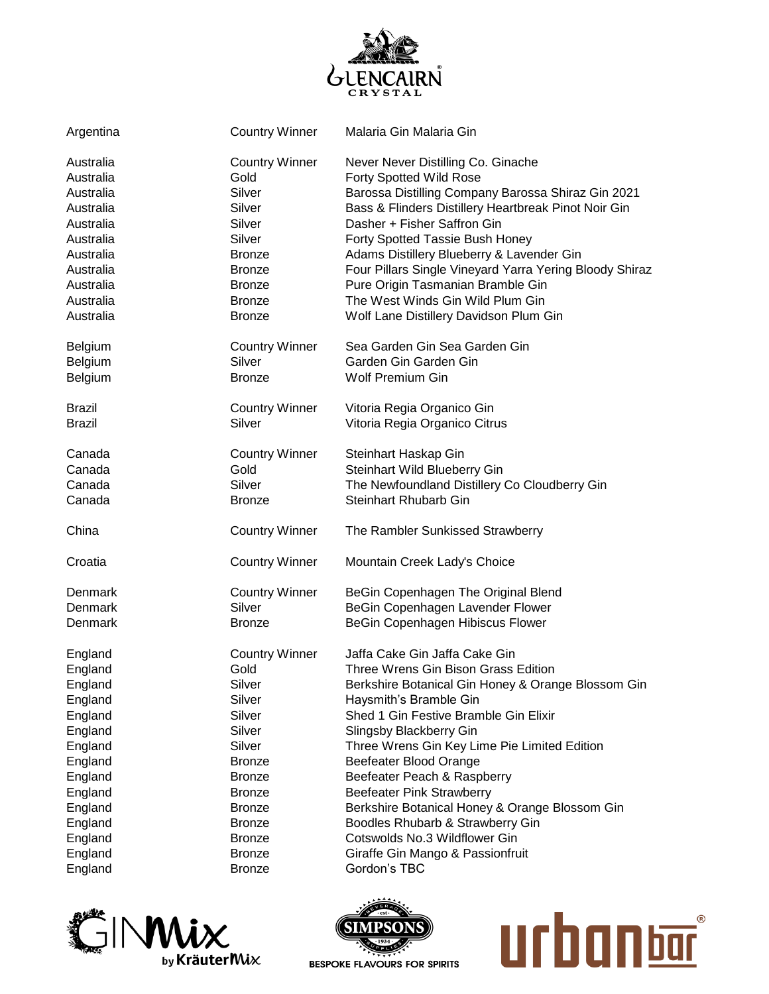

| Argentina              | <b>Country Winner</b>          | Malaria Gin Malaria Gin                                                                      |
|------------------------|--------------------------------|----------------------------------------------------------------------------------------------|
| Australia              | <b>Country Winner</b>          | Never Never Distilling Co. Ginache                                                           |
| Australia              | Gold                           | <b>Forty Spotted Wild Rose</b>                                                               |
| Australia              | Silver                         | Barossa Distilling Company Barossa Shiraz Gin 2021                                           |
| Australia              | Silver                         | Bass & Flinders Distillery Heartbreak Pinot Noir Gin                                         |
| Australia              | Silver                         | Dasher + Fisher Saffron Gin                                                                  |
| Australia              | Silver                         | Forty Spotted Tassie Bush Honey                                                              |
| Australia              | <b>Bronze</b>                  | Adams Distillery Blueberry & Lavender Gin                                                    |
| Australia<br>Australia | <b>Bronze</b>                  | Four Pillars Single Vineyard Yarra Yering Bloody Shiraz<br>Pure Origin Tasmanian Bramble Gin |
| Australia              | <b>Bronze</b><br><b>Bronze</b> | The West Winds Gin Wild Plum Gin                                                             |
| Australia              | <b>Bronze</b>                  | Wolf Lane Distillery Davidson Plum Gin                                                       |
|                        |                                |                                                                                              |
| Belgium                | <b>Country Winner</b>          | Sea Garden Gin Sea Garden Gin                                                                |
| Belgium                | Silver                         | Garden Gin Garden Gin                                                                        |
| Belgium                | <b>Bronze</b>                  | <b>Wolf Premium Gin</b>                                                                      |
| <b>Brazil</b>          | <b>Country Winner</b>          | Vitoria Regia Organico Gin                                                                   |
| <b>Brazil</b>          | Silver                         | Vitoria Regia Organico Citrus                                                                |
| Canada                 | <b>Country Winner</b>          | Steinhart Haskap Gin                                                                         |
| Canada                 | Gold                           | Steinhart Wild Blueberry Gin                                                                 |
| Canada                 | Silver                         | The Newfoundland Distillery Co Cloudberry Gin                                                |
| Canada                 | <b>Bronze</b>                  | Steinhart Rhubarb Gin                                                                        |
| China                  | <b>Country Winner</b>          | The Rambler Sunkissed Strawberry                                                             |
| Croatia                | <b>Country Winner</b>          | Mountain Creek Lady's Choice                                                                 |
| Denmark                | <b>Country Winner</b>          | BeGin Copenhagen The Original Blend                                                          |
| Denmark                | Silver                         | BeGin Copenhagen Lavender Flower                                                             |
| Denmark                | <b>Bronze</b>                  | BeGin Copenhagen Hibiscus Flower                                                             |
| England                | <b>Country Winner</b>          | Jaffa Cake Gin Jaffa Cake Gin                                                                |
| England                | Gold                           | Three Wrens Gin Bison Grass Edition                                                          |
| England                | Silver                         | Berkshire Botanical Gin Honey & Orange Blossom Gin                                           |
| England                | Silver                         | Haysmith's Bramble Gin                                                                       |
| England                | Silver                         | Shed 1 Gin Festive Bramble Gin Elixir                                                        |
| England                | Silver                         | Slingsby Blackberry Gin                                                                      |
| England                | Silver                         | Three Wrens Gin Key Lime Pie Limited Edition                                                 |
| England                | <b>Bronze</b>                  | Beefeater Blood Orange                                                                       |
| England                | <b>Bronze</b>                  | Beefeater Peach & Raspberry                                                                  |
| England                | <b>Bronze</b>                  | <b>Beefeater Pink Strawberry</b>                                                             |
| England                | <b>Bronze</b>                  | Berkshire Botanical Honey & Orange Blossom Gin                                               |
| England                | <b>Bronze</b>                  | Boodles Rhubarb & Strawberry Gin                                                             |
| England                | <b>Bronze</b>                  | Cotswolds No.3 Wildflower Gin                                                                |
| England                | <b>Bronze</b>                  | Giraffe Gin Mango & Passionfruit                                                             |
| England                | <b>Bronze</b>                  | Gordon's TBC                                                                                 |





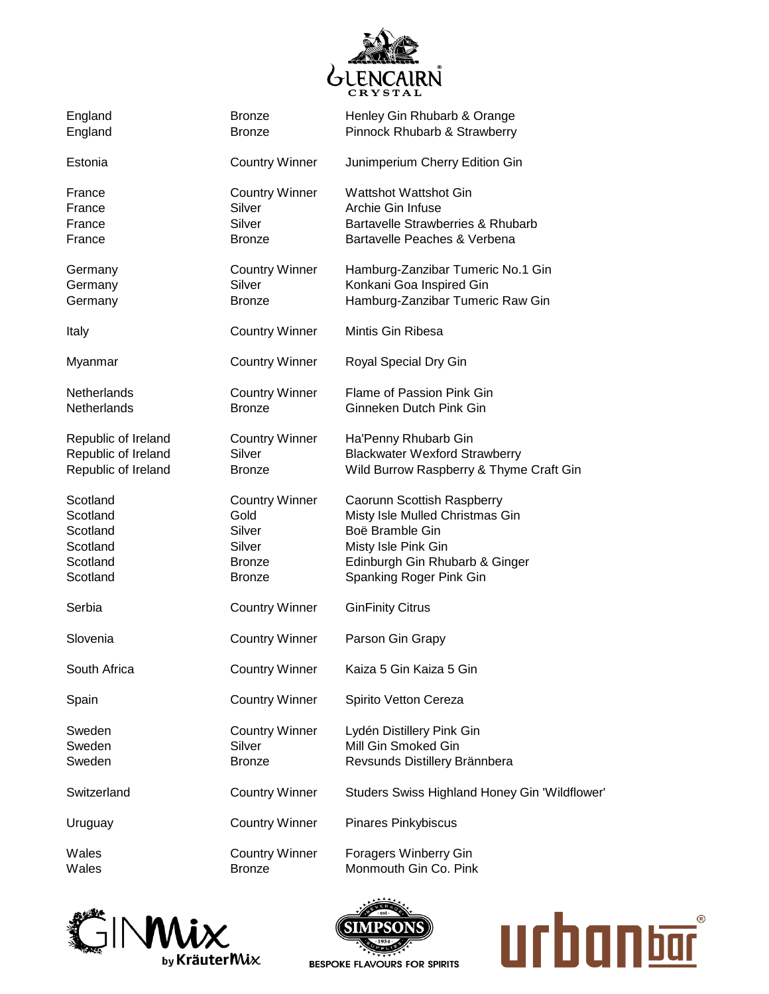

| England<br>England                                                   | <b>Bronze</b><br><b>Bronze</b>                                                      | Henley Gin Rhubarb & Orange<br>Pinnock Rhubarb & Strawberry                                                                                                          |
|----------------------------------------------------------------------|-------------------------------------------------------------------------------------|----------------------------------------------------------------------------------------------------------------------------------------------------------------------|
| Estonia                                                              | <b>Country Winner</b>                                                               | Junimperium Cherry Edition Gin                                                                                                                                       |
| France<br>France<br>France<br>France                                 | <b>Country Winner</b><br>Silver<br>Silver<br><b>Bronze</b>                          | <b>Wattshot Wattshot Gin</b><br>Archie Gin Infuse<br>Bartavelle Strawberries & Rhubarb<br>Bartavelle Peaches & Verbena                                               |
| Germany<br>Germany<br>Germany                                        | <b>Country Winner</b><br>Silver<br><b>Bronze</b>                                    | Hamburg-Zanzibar Tumeric No.1 Gin<br>Konkani Goa Inspired Gin<br>Hamburg-Zanzibar Tumeric Raw Gin                                                                    |
| Italy                                                                | <b>Country Winner</b>                                                               | Mintis Gin Ribesa                                                                                                                                                    |
| Myanmar                                                              | <b>Country Winner</b>                                                               | Royal Special Dry Gin                                                                                                                                                |
| <b>Netherlands</b><br>Netherlands                                    | <b>Country Winner</b><br><b>Bronze</b>                                              | Flame of Passion Pink Gin<br>Ginneken Dutch Pink Gin                                                                                                                 |
| Republic of Ireland<br>Republic of Ireland<br>Republic of Ireland    | <b>Country Winner</b><br>Silver<br><b>Bronze</b>                                    | Ha'Penny Rhubarb Gin<br><b>Blackwater Wexford Strawberry</b><br>Wild Burrow Raspberry & Thyme Craft Gin                                                              |
| Scotland<br>Scotland<br>Scotland<br>Scotland<br>Scotland<br>Scotland | <b>Country Winner</b><br>Gold<br>Silver<br>Silver<br><b>Bronze</b><br><b>Bronze</b> | Caorunn Scottish Raspberry<br>Misty Isle Mulled Christmas Gin<br>Boë Bramble Gin<br>Misty Isle Pink Gin<br>Edinburgh Gin Rhubarb & Ginger<br>Spanking Roger Pink Gin |
| Serbia                                                               | <b>Country Winner</b>                                                               | <b>GinFinity Citrus</b>                                                                                                                                              |
| Slovenia                                                             | <b>Country Winner</b>                                                               | Parson Gin Grapy                                                                                                                                                     |
| South Africa                                                         | <b>Country Winner</b>                                                               | Kaiza 5 Gin Kaiza 5 Gin                                                                                                                                              |
| Spain                                                                | <b>Country Winner</b>                                                               | Spirito Vetton Cereza                                                                                                                                                |
| Sweden<br>Sweden<br>Sweden                                           | <b>Country Winner</b><br>Silver<br><b>Bronze</b>                                    | Lydén Distillery Pink Gin<br>Mill Gin Smoked Gin<br>Revsunds Distillery Brännbera                                                                                    |
| Switzerland                                                          | <b>Country Winner</b>                                                               | Studers Swiss Highland Honey Gin 'Wildflower'                                                                                                                        |
| Uruguay                                                              | <b>Country Winner</b>                                                               | <b>Pinares Pinkybiscus</b>                                                                                                                                           |
| Wales<br>Wales                                                       | <b>Country Winner</b><br><b>Bronze</b>                                              | Foragers Winberry Gin<br>Monmouth Gin Co. Pink                                                                                                                       |





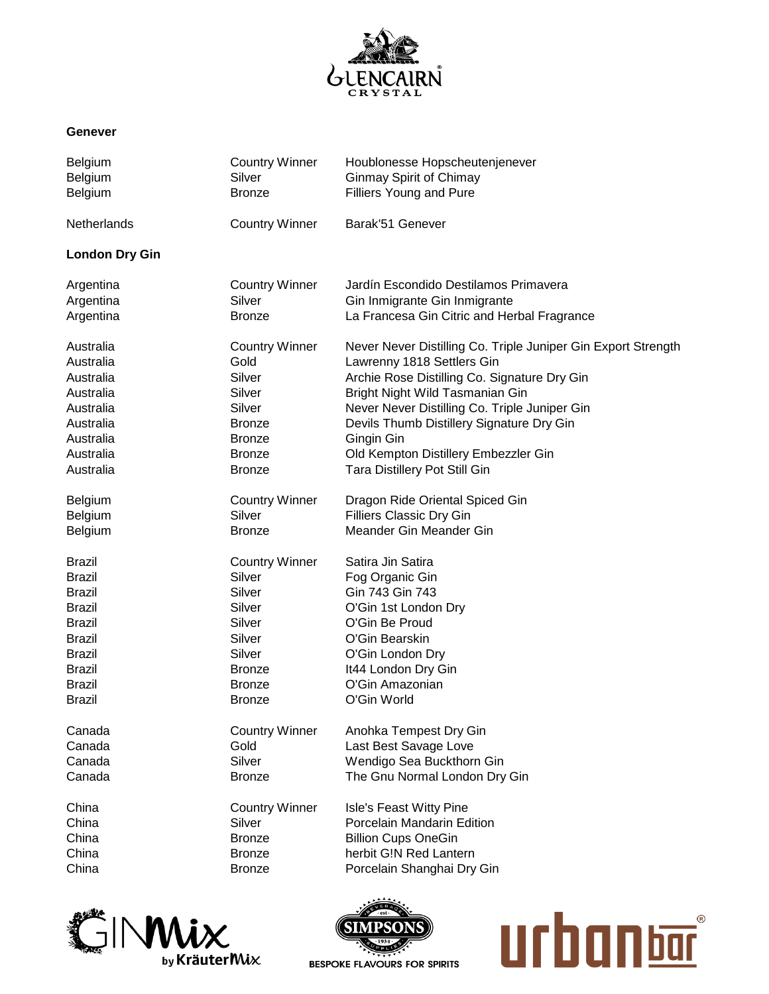

## **Genever**

| <b>Belgium</b><br>Belgium<br>Belgium | <b>Country Winner</b><br>Silver<br><b>Bronze</b> | Houblonesse Hopscheutenjenever<br><b>Ginmay Spirit of Chimay</b><br><b>Filliers Young and Pure</b> |
|--------------------------------------|--------------------------------------------------|----------------------------------------------------------------------------------------------------|
| Netherlands                          | <b>Country Winner</b>                            | Barak'51 Genever                                                                                   |
| <b>London Dry Gin</b>                |                                                  |                                                                                                    |
| Argentina                            | <b>Country Winner</b>                            | Jardín Escondido Destilamos Primavera                                                              |
| Argentina                            | Silver                                           | Gin Inmigrante Gin Inmigrante                                                                      |
| Argentina                            | <b>Bronze</b>                                    | La Francesa Gin Citric and Herbal Fragrance                                                        |
| Australia                            | <b>Country Winner</b>                            | Never Never Distilling Co. Triple Juniper Gin Export Strength                                      |
| Australia                            | Gold                                             | Lawrenny 1818 Settlers Gin                                                                         |
| Australia                            | Silver                                           | Archie Rose Distilling Co. Signature Dry Gin                                                       |
| Australia                            | Silver                                           | Bright Night Wild Tasmanian Gin                                                                    |
| Australia                            | Silver                                           | Never Never Distilling Co. Triple Juniper Gin                                                      |
| Australia                            | <b>Bronze</b>                                    | Devils Thumb Distillery Signature Dry Gin                                                          |
| Australia                            | <b>Bronze</b>                                    | Gingin Gin                                                                                         |
| Australia                            | <b>Bronze</b>                                    | Old Kempton Distillery Embezzler Gin                                                               |
| Australia                            | <b>Bronze</b>                                    | Tara Distillery Pot Still Gin                                                                      |
| Belgium                              | <b>Country Winner</b>                            | Dragon Ride Oriental Spiced Gin                                                                    |
| Belgium                              | Silver                                           | <b>Filliers Classic Dry Gin</b>                                                                    |
| <b>Belgium</b>                       | <b>Bronze</b>                                    | Meander Gin Meander Gin                                                                            |
| <b>Brazil</b>                        | <b>Country Winner</b>                            | Satira Jin Satira                                                                                  |
| <b>Brazil</b>                        | Silver                                           | Fog Organic Gin                                                                                    |
| <b>Brazil</b>                        | Silver                                           | Gin 743 Gin 743                                                                                    |
| <b>Brazil</b>                        | Silver                                           | O'Gin 1st London Dry                                                                               |
| <b>Brazil</b>                        | Silver                                           | O'Gin Be Proud                                                                                     |
| <b>Brazil</b>                        | Silver                                           | O'Gin Bearskin                                                                                     |
| <b>Brazil</b>                        | Silver                                           | O'Gin London Dry                                                                                   |
| <b>Brazil</b>                        | <b>Bronze</b>                                    | It44 London Dry Gin                                                                                |
| <b>Brazil</b>                        | <b>Bronze</b>                                    | O'Gin Amazonian                                                                                    |
| <b>Brazil</b>                        | <b>Bronze</b>                                    | O'Gin World                                                                                        |
| Canada                               | <b>Country Winner</b>                            | Anohka Tempest Dry Gin                                                                             |
| Canada                               | Gold                                             | Last Best Savage Love                                                                              |
| Canada                               | Silver                                           | Wendigo Sea Buckthorn Gin                                                                          |
| Canada                               | <b>Bronze</b>                                    | The Gnu Normal London Dry Gin                                                                      |
| China                                | <b>Country Winner</b>                            | Isle's Feast Witty Pine                                                                            |
| China                                | Silver                                           | Porcelain Mandarin Edition                                                                         |
| China                                | <b>Bronze</b>                                    | <b>Billion Cups OneGin</b>                                                                         |
| China                                | <b>Bronze</b>                                    | herbit G!N Red Lantern                                                                             |
| China                                | <b>Bronze</b>                                    | Porcelain Shanghai Dry Gin                                                                         |





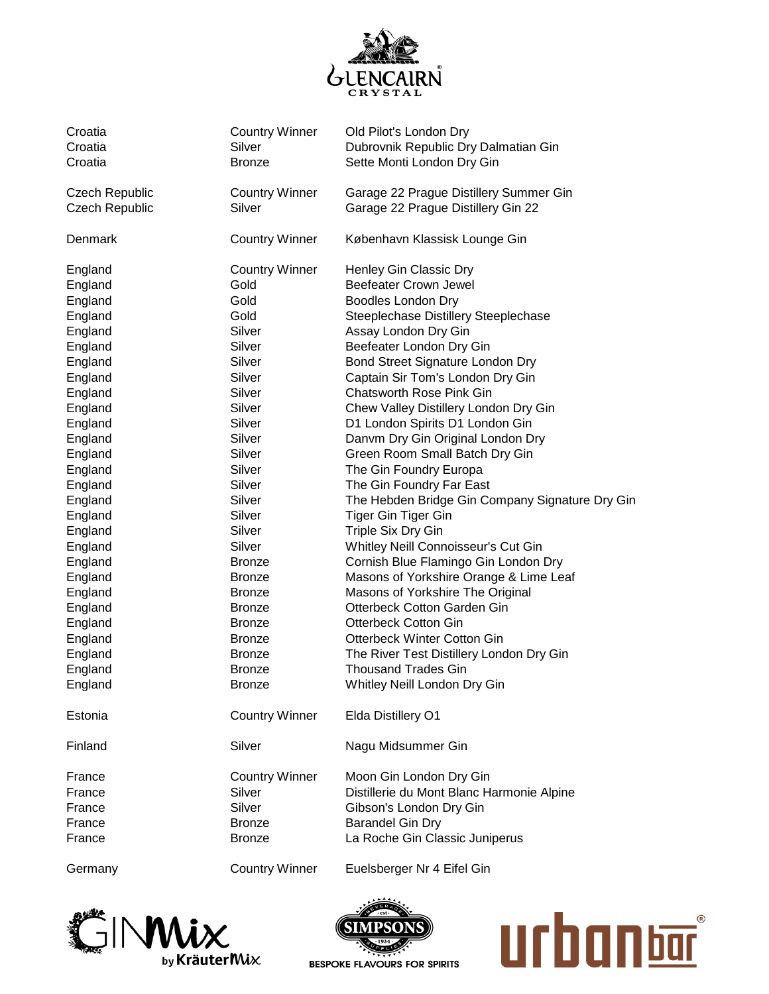

| Croatia               | <b>Country Winner</b> | Old Pilot's London Dry                          |
|-----------------------|-----------------------|-------------------------------------------------|
| Croatia               | Silver                | Dubrovnik Republic Dry Dalmatian Gin            |
| Croatia               | <b>Bronze</b>         | Sette Monti London Dry Gin                      |
| <b>Czech Republic</b> | <b>Country Winner</b> | Garage 22 Prague Distillery Summer Gin          |
| <b>Czech Republic</b> | Silver                | Garage 22 Prague Distillery Gin 22              |
| Denmark               | <b>Country Winner</b> | København Klassisk Lounge Gin                   |
| England               | <b>Country Winner</b> | Henley Gin Classic Dry                          |
| England               | Gold                  | <b>Beefeater Crown Jewel</b>                    |
| England               | Gold                  | <b>Boodles London Dry</b>                       |
| England               | Gold                  | Steeplechase Distillery Steeplechase            |
| England               | Silver                | Assay London Dry Gin                            |
| England               | Silver                | Beefeater London Dry Gin                        |
| England               | Silver                | Bond Street Signature London Dry                |
| England               | Silver                | Captain Sir Tom's London Dry Gin                |
| England               | Silver                | <b>Chatsworth Rose Pink Gin</b>                 |
| England               | Silver                | Chew Valley Distillery London Dry Gin           |
| England               | Silver                | D1 London Spirits D1 London Gin                 |
| England               | Silver                | Danvm Dry Gin Original London Dry               |
| England               | Silver                | Green Room Small Batch Dry Gin                  |
| England               | Silver                | The Gin Foundry Europa                          |
| England               | Silver                | The Gin Foundry Far East                        |
| England               | Silver                | The Hebden Bridge Gin Company Signature Dry Gin |
| England               | Silver                | Tiger Gin Tiger Gin                             |
| England               | Silver                | Triple Six Dry Gin                              |
| England               | Silver                | Whitley Neill Connoisseur's Cut Gin             |
| England               | <b>Bronze</b>         | Cornish Blue Flamingo Gin London Dry            |
| England               | <b>Bronze</b>         | Masons of Yorkshire Orange & Lime Leaf          |
| England               | <b>Bronze</b>         | Masons of Yorkshire The Original                |
| England               | <b>Bronze</b>         | Otterbeck Cotton Garden Gin                     |
| England               | <b>Bronze</b>         | <b>Otterbeck Cotton Gin</b>                     |
| England               | <b>Bronze</b>         | <b>Otterbeck Winter Cotton Gin</b>              |
| England               | <b>Bronze</b>         | The River Test Distillery London Dry Gin        |
| England               | <b>Bronze</b>         | <b>Thousand Trades Gin</b>                      |
| England               | <b>Bronze</b>         | Whitley Neill London Dry Gin                    |
| Estonia               | <b>Country Winner</b> | Elda Distillery O1                              |
| Finland               | Silver                | Nagu Midsummer Gin                              |
| France                | <b>Country Winner</b> | Moon Gin London Dry Gin                         |
| France                | Silver                | Distillerie du Mont Blanc Harmonie Alpine       |
| France                | Silver                | Gibson's London Dry Gin                         |
| France                | <b>Bronze</b>         | <b>Barandel Gin Dry</b>                         |
| France                | <b>Bronze</b>         | La Roche Gin Classic Juniperus                  |
| Germany               | <b>Country Winner</b> | Euelsberger Nr 4 Eifel Gin                      |





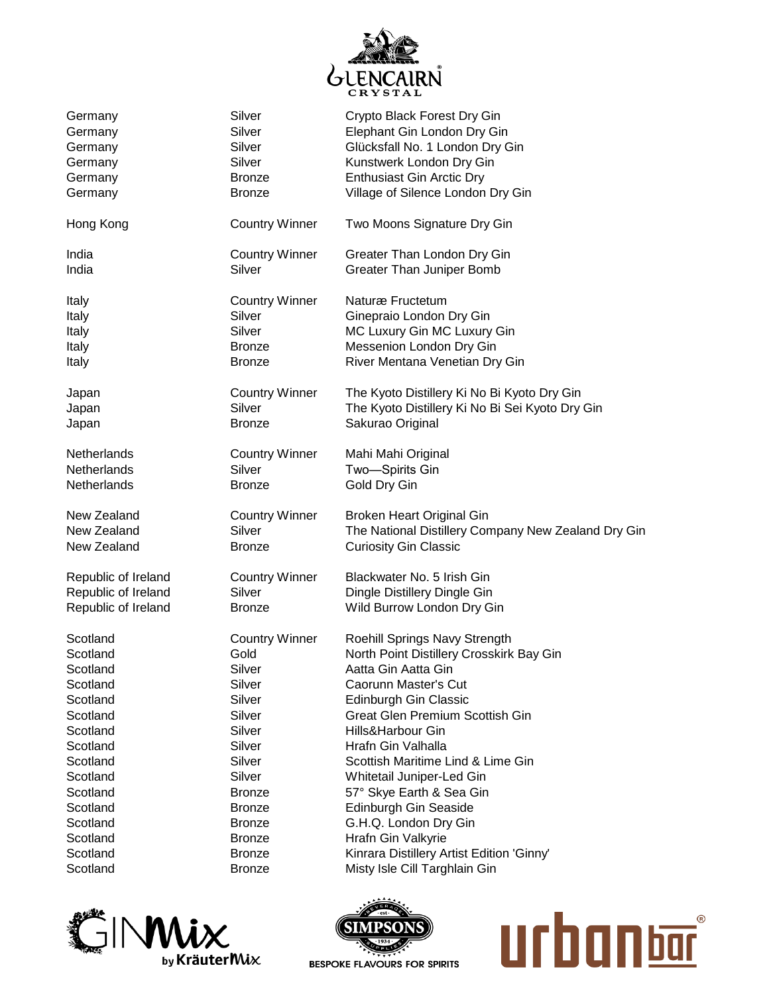

| Germany             | Silver                | Crypto Black Forest Dry Gin                         |
|---------------------|-----------------------|-----------------------------------------------------|
| Germany             | Silver                | Elephant Gin London Dry Gin                         |
| Germany             | Silver                | Glücksfall No. 1 London Dry Gin                     |
| Germany             | Silver                | Kunstwerk London Dry Gin                            |
| Germany             | <b>Bronze</b>         | <b>Enthusiast Gin Arctic Dry</b>                    |
| Germany             | <b>Bronze</b>         | Village of Silence London Dry Gin                   |
| Hong Kong           | <b>Country Winner</b> | Two Moons Signature Dry Gin                         |
| India               | <b>Country Winner</b> | Greater Than London Dry Gin                         |
| India               | Silver                | <b>Greater Than Juniper Bomb</b>                    |
| Italy               | <b>Country Winner</b> | Naturæ Fructetum                                    |
| Italy               | Silver                | Ginepraio London Dry Gin                            |
| Italy               | Silver                | MC Luxury Gin MC Luxury Gin                         |
| Italy               | <b>Bronze</b>         | Messenion London Dry Gin                            |
| Italy               | <b>Bronze</b>         | River Mentana Venetian Dry Gin                      |
| Japan               | <b>Country Winner</b> | The Kyoto Distillery Ki No Bi Kyoto Dry Gin         |
| Japan               | Silver                | The Kyoto Distillery Ki No Bi Sei Kyoto Dry Gin     |
| Japan               | <b>Bronze</b>         | Sakurao Original                                    |
| Netherlands         | <b>Country Winner</b> | Mahi Mahi Original                                  |
| Netherlands         | Silver                | Two-Spirits Gin                                     |
| Netherlands         | Bronze                | Gold Dry Gin                                        |
| New Zealand         | <b>Country Winner</b> | Broken Heart Original Gin                           |
| New Zealand         | Silver                | The National Distillery Company New Zealand Dry Gin |
| New Zealand         | <b>Bronze</b>         | <b>Curiosity Gin Classic</b>                        |
| Republic of Ireland | <b>Country Winner</b> | Blackwater No. 5 Irish Gin                          |
| Republic of Ireland | Silver                | Dingle Distillery Dingle Gin                        |
| Republic of Ireland | <b>Bronze</b>         | Wild Burrow London Dry Gin                          |
| Scotland            | <b>Country Winner</b> | Roehill Springs Navy Strength                       |
| Scotland            | Gold                  | North Point Distillery Crosskirk Bay Gin            |
| Scotland            | Silver                | Aatta Gin Aatta Gin                                 |
| Scotland            | Silver                | Caorunn Master's Cut                                |
| Scotland            | Silver                | Edinburgh Gin Classic                               |
| Scotland            | Silver                | <b>Great Glen Premium Scottish Gin</b>              |
| Scotland            | Silver                | Hills&Harbour Gin                                   |
| Scotland            | Silver                | Hrafn Gin Valhalla                                  |
| Scotland            | Silver                | Scottish Maritime Lind & Lime Gin                   |
| Scotland            | Silver                | Whitetail Juniper-Led Gin                           |
| Scotland            | <b>Bronze</b>         | 57° Skye Earth & Sea Gin                            |
| Scotland            | <b>Bronze</b>         | Edinburgh Gin Seaside                               |
| Scotland            | <b>Bronze</b>         | G.H.Q. London Dry Gin                               |
| Scotland            | <b>Bronze</b>         | Hrafn Gin Valkyrie                                  |
| Scotland            | <b>Bronze</b>         | Kinrara Distillery Artist Edition 'Ginny'           |
| Scotland            | <b>Bronze</b>         | Misty Isle Cill Targhlain Gin                       |





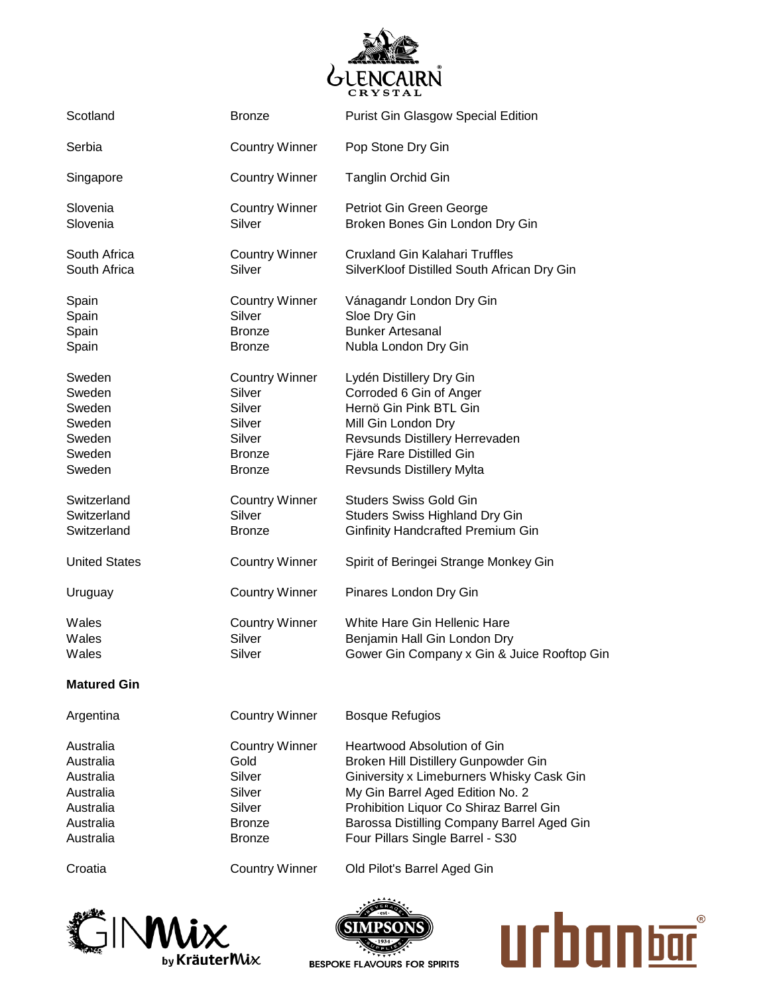

| Scotland                                                           | <b>Bronze</b>                                                                                   | <b>Purist Gin Glasgow Special Edition</b>                                                                                                                                                       |
|--------------------------------------------------------------------|-------------------------------------------------------------------------------------------------|-------------------------------------------------------------------------------------------------------------------------------------------------------------------------------------------------|
|                                                                    |                                                                                                 |                                                                                                                                                                                                 |
| Serbia                                                             | <b>Country Winner</b>                                                                           | Pop Stone Dry Gin                                                                                                                                                                               |
| Singapore                                                          | <b>Country Winner</b>                                                                           | <b>Tanglin Orchid Gin</b>                                                                                                                                                                       |
| Slovenia<br>Slovenia                                               | <b>Country Winner</b><br>Silver                                                                 | Petriot Gin Green George<br>Broken Bones Gin London Dry Gin                                                                                                                                     |
| South Africa<br>South Africa                                       | <b>Country Winner</b><br>Silver                                                                 | <b>Cruxland Gin Kalahari Truffles</b><br>SilverKloof Distilled South African Dry Gin                                                                                                            |
| Spain<br>Spain<br>Spain<br>Spain                                   | <b>Country Winner</b><br>Silver<br><b>Bronze</b><br><b>Bronze</b>                               | Vánagandr London Dry Gin<br>Sloe Dry Gin<br><b>Bunker Artesanal</b><br>Nubla London Dry Gin                                                                                                     |
| Sweden<br>Sweden<br>Sweden<br>Sweden<br>Sweden<br>Sweden<br>Sweden | <b>Country Winner</b><br>Silver<br>Silver<br>Silver<br>Silver<br><b>Bronze</b><br><b>Bronze</b> | Lydén Distillery Dry Gin<br>Corroded 6 Gin of Anger<br>Hernö Gin Pink BTL Gin<br>Mill Gin London Dry<br>Revsunds Distillery Herrevaden<br>Fjäre Rare Distilled Gin<br>Revsunds Distillery Mylta |
| Switzerland<br>Switzerland<br>Switzerland                          | <b>Country Winner</b><br>Silver<br><b>Bronze</b>                                                | <b>Studers Swiss Gold Gin</b><br><b>Studers Swiss Highland Dry Gin</b><br><b>Ginfinity Handcrafted Premium Gin</b>                                                                              |
| <b>United States</b>                                               | <b>Country Winner</b>                                                                           | Spirit of Beringei Strange Monkey Gin                                                                                                                                                           |
| Uruguay                                                            | <b>Country Winner</b>                                                                           | Pinares London Dry Gin                                                                                                                                                                          |
| Wales<br>Wales<br>Wales                                            | <b>Country Winner</b><br>Silver<br>Silver                                                       | White Hare Gin Hellenic Hare<br>Benjamin Hall Gin London Dry<br>Gower Gin Company x Gin & Juice Rooftop Gin                                                                                     |
| <b>Matured Gin</b>                                                 |                                                                                                 |                                                                                                                                                                                                 |
| Argentina                                                          | <b>Country Winner</b>                                                                           | <b>Bosque Refugios</b>                                                                                                                                                                          |
| Australia<br>Australia<br>Australia<br>Australia<br>Australia      | <b>Country Winner</b><br>Gold<br>Silver<br>Silver<br>Silver                                     | Heartwood Absolution of Gin<br>Broken Hill Distillery Gunpowder Gin<br>Giniversity x Limeburners Whisky Cask Gin<br>My Gin Barrel Aged Edition No. 2<br>Prohibition Liquor Co Shiraz Barrel Gin |

Croatia Country Winner Old Pilot's Barrel Aged Gin





Australia **Bronze** Bronze Barossa Distilling Company Barrel Aged Gin

Australia **Bronze** Four Pillars Single Barrel - S30

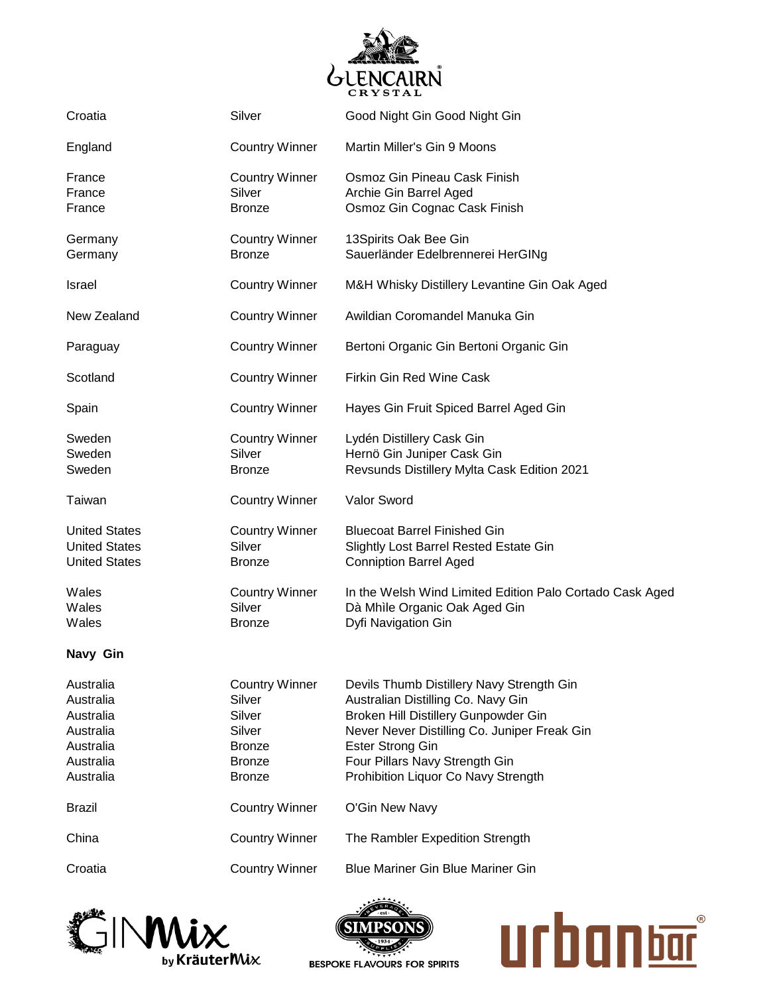

| Croatia                                                                                 | Silver                                                                                                 | Good Night Gin Good Night Gin                                                                                                                                                                                                                                               |
|-----------------------------------------------------------------------------------------|--------------------------------------------------------------------------------------------------------|-----------------------------------------------------------------------------------------------------------------------------------------------------------------------------------------------------------------------------------------------------------------------------|
| England                                                                                 | <b>Country Winner</b>                                                                                  | Martin Miller's Gin 9 Moons                                                                                                                                                                                                                                                 |
| France<br>France<br>France                                                              | <b>Country Winner</b><br>Silver<br><b>Bronze</b>                                                       | Osmoz Gin Pineau Cask Finish<br>Archie Gin Barrel Aged<br>Osmoz Gin Cognac Cask Finish                                                                                                                                                                                      |
| Germany<br>Germany                                                                      | <b>Country Winner</b><br><b>Bronze</b>                                                                 | 13Spirits Oak Bee Gin<br>Sauerländer Edelbrennerei HerGINg                                                                                                                                                                                                                  |
| <b>Israel</b>                                                                           | <b>Country Winner</b>                                                                                  | M&H Whisky Distillery Levantine Gin Oak Aged                                                                                                                                                                                                                                |
| New Zealand                                                                             | <b>Country Winner</b>                                                                                  | Awildian Coromandel Manuka Gin                                                                                                                                                                                                                                              |
| Paraguay                                                                                | <b>Country Winner</b>                                                                                  | Bertoni Organic Gin Bertoni Organic Gin                                                                                                                                                                                                                                     |
| Scotland                                                                                | <b>Country Winner</b>                                                                                  | Firkin Gin Red Wine Cask                                                                                                                                                                                                                                                    |
| Spain                                                                                   | <b>Country Winner</b>                                                                                  | Hayes Gin Fruit Spiced Barrel Aged Gin                                                                                                                                                                                                                                      |
| Sweden<br>Sweden<br>Sweden                                                              | <b>Country Winner</b><br>Silver<br><b>Bronze</b>                                                       | Lydén Distillery Cask Gin<br>Hernö Gin Juniper Cask Gin<br>Revsunds Distillery Mylta Cask Edition 2021                                                                                                                                                                      |
| Taiwan                                                                                  | <b>Country Winner</b>                                                                                  | Valor Sword                                                                                                                                                                                                                                                                 |
| <b>United States</b><br><b>United States</b><br><b>United States</b>                    | <b>Country Winner</b><br>Silver<br><b>Bronze</b>                                                       | <b>Bluecoat Barrel Finished Gin</b><br>Slightly Lost Barrel Rested Estate Gin<br><b>Conniption Barrel Aged</b>                                                                                                                                                              |
| Wales<br>Wales<br>Wales                                                                 | <b>Country Winner</b><br>Silver<br><b>Bronze</b>                                                       | In the Welsh Wind Limited Edition Palo Cortado Cask Aged<br>Dà Mhìle Organic Oak Aged Gin<br>Dyfi Navigation Gin                                                                                                                                                            |
| Navy Gin                                                                                |                                                                                                        |                                                                                                                                                                                                                                                                             |
| Australia<br>Australia<br>Australia<br>Australia<br>Australia<br>Australia<br>Australia | <b>Country Winner</b><br>Silver<br>Silver<br>Silver<br><b>Bronze</b><br><b>Bronze</b><br><b>Bronze</b> | Devils Thumb Distillery Navy Strength Gin<br>Australian Distilling Co. Navy Gin<br>Broken Hill Distillery Gunpowder Gin<br>Never Never Distilling Co. Juniper Freak Gin<br><b>Ester Strong Gin</b><br>Four Pillars Navy Strength Gin<br>Prohibition Liquor Co Navy Strength |
| <b>Brazil</b>                                                                           | <b>Country Winner</b>                                                                                  | O'Gin New Navy                                                                                                                                                                                                                                                              |
| China                                                                                   | <b>Country Winner</b>                                                                                  | The Rambler Expedition Strength                                                                                                                                                                                                                                             |
| Croatia                                                                                 | <b>Country Winner</b>                                                                                  | <b>Blue Mariner Gin Blue Mariner Gin</b>                                                                                                                                                                                                                                    |





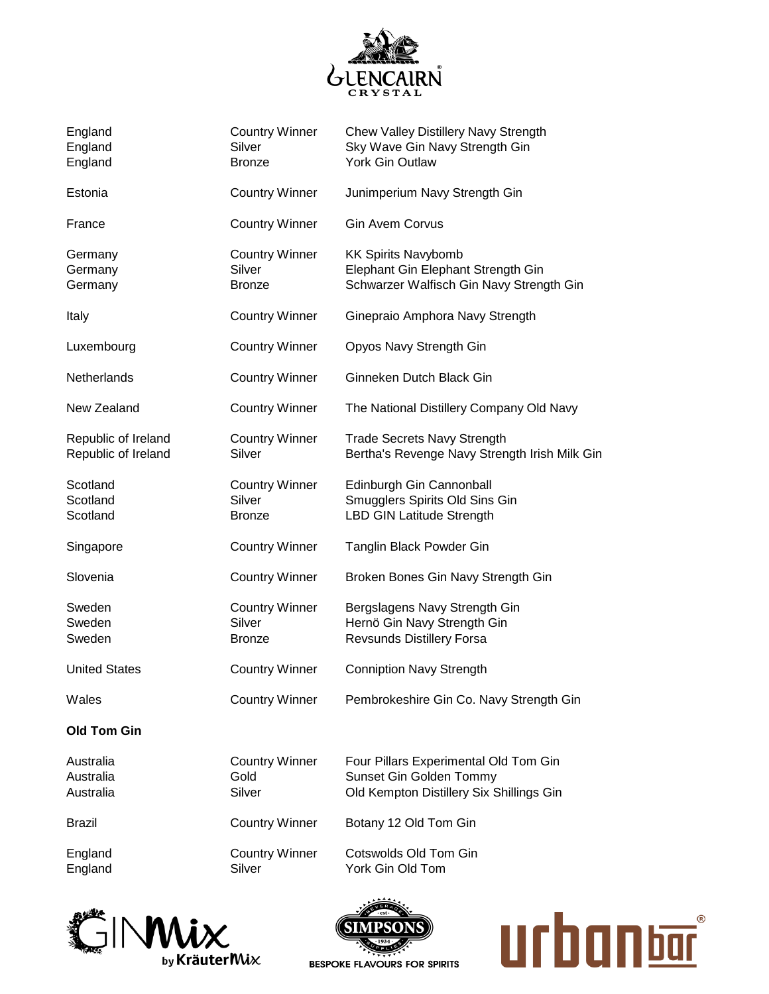

| England<br>England<br>England              | <b>Country Winner</b><br>Silver<br><b>Bronze</b> | Chew Valley Distillery Navy Strength<br>Sky Wave Gin Navy Strength Gin<br>York Gin Outlaw                    |
|--------------------------------------------|--------------------------------------------------|--------------------------------------------------------------------------------------------------------------|
| Estonia                                    | <b>Country Winner</b>                            | Junimperium Navy Strength Gin                                                                                |
| France                                     | <b>Country Winner</b>                            | <b>Gin Avem Corvus</b>                                                                                       |
| Germany<br>Germany<br>Germany              | <b>Country Winner</b><br>Silver<br><b>Bronze</b> | <b>KK Spirits Navybomb</b><br>Elephant Gin Elephant Strength Gin<br>Schwarzer Walfisch Gin Navy Strength Gin |
| Italy                                      | <b>Country Winner</b>                            | Ginepraio Amphora Navy Strength                                                                              |
| Luxembourg                                 | <b>Country Winner</b>                            | Opyos Navy Strength Gin                                                                                      |
| Netherlands                                | <b>Country Winner</b>                            | Ginneken Dutch Black Gin                                                                                     |
| New Zealand                                | <b>Country Winner</b>                            | The National Distillery Company Old Navy                                                                     |
| Republic of Ireland<br>Republic of Ireland | <b>Country Winner</b><br>Silver                  | <b>Trade Secrets Navy Strength</b><br>Bertha's Revenge Navy Strength Irish Milk Gin                          |
| Scotland<br>Scotland<br>Scotland           | <b>Country Winner</b><br>Silver<br><b>Bronze</b> | Edinburgh Gin Cannonball<br>Smugglers Spirits Old Sins Gin<br><b>LBD GIN Latitude Strength</b>               |
| Singapore                                  | <b>Country Winner</b>                            | Tanglin Black Powder Gin                                                                                     |
| Slovenia                                   | <b>Country Winner</b>                            | Broken Bones Gin Navy Strength Gin                                                                           |
| Sweden<br>Sweden<br>Sweden                 | <b>Country Winner</b><br>Silver<br><b>Bronze</b> | Bergslagens Navy Strength Gin<br>Hernö Gin Navy Strength Gin<br><b>Revsunds Distillery Forsa</b>             |
| <b>United States</b>                       | <b>Country Winner</b>                            | <b>Conniption Navy Strength</b>                                                                              |
| Wales                                      | <b>Country Winner</b>                            | Pembrokeshire Gin Co. Navy Strength Gin                                                                      |
| <b>Old Tom Gin</b>                         |                                                  |                                                                                                              |
| Australia<br>Australia<br>Australia        | <b>Country Winner</b><br>Gold<br>Silver          | Four Pillars Experimental Old Tom Gin<br>Sunset Gin Golden Tommy<br>Old Kempton Distillery Six Shillings Gin |
| <b>Brazil</b>                              | <b>Country Winner</b>                            | Botany 12 Old Tom Gin                                                                                        |
| England<br>England                         | <b>Country Winner</b><br>Silver                  | Cotswolds Old Tom Gin<br>York Gin Old Tom                                                                    |





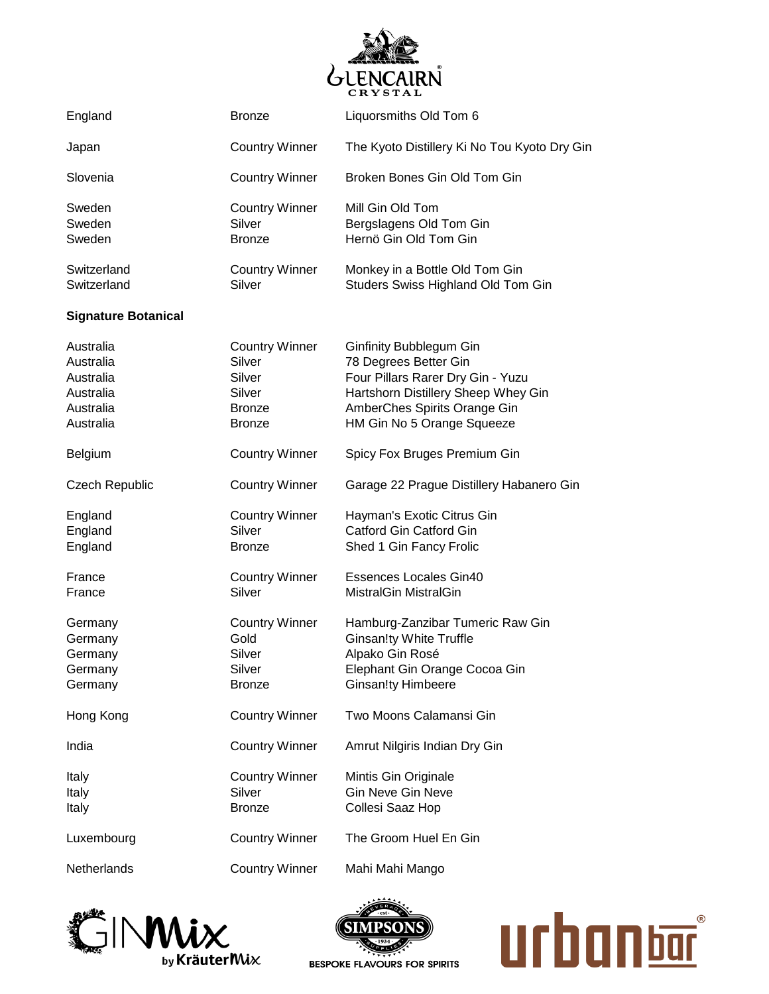

| England                                                                    | <b>Bronze</b>                                                                         | Liquorsmiths Old Tom 6                                                                                                                                                                     |
|----------------------------------------------------------------------------|---------------------------------------------------------------------------------------|--------------------------------------------------------------------------------------------------------------------------------------------------------------------------------------------|
| Japan                                                                      | <b>Country Winner</b>                                                                 | The Kyoto Distillery Ki No Tou Kyoto Dry Gin                                                                                                                                               |
| Slovenia                                                                   | <b>Country Winner</b>                                                                 | Broken Bones Gin Old Tom Gin                                                                                                                                                               |
| Sweden<br>Sweden<br>Sweden                                                 | <b>Country Winner</b><br>Silver<br><b>Bronze</b>                                      | Mill Gin Old Tom<br>Bergslagens Old Tom Gin<br>Hernö Gin Old Tom Gin                                                                                                                       |
| Switzerland<br>Switzerland                                                 | <b>Country Winner</b><br>Silver                                                       | Monkey in a Bottle Old Tom Gin<br>Studers Swiss Highland Old Tom Gin                                                                                                                       |
| <b>Signature Botanical</b>                                                 |                                                                                       |                                                                                                                                                                                            |
| Australia<br>Australia<br>Australia<br>Australia<br>Australia<br>Australia | <b>Country Winner</b><br>Silver<br>Silver<br>Silver<br><b>Bronze</b><br><b>Bronze</b> | Ginfinity Bubblegum Gin<br>78 Degrees Better Gin<br>Four Pillars Rarer Dry Gin - Yuzu<br>Hartshorn Distillery Sheep Whey Gin<br>AmberChes Spirits Orange Gin<br>HM Gin No 5 Orange Squeeze |
| Belgium                                                                    | <b>Country Winner</b>                                                                 | Spicy Fox Bruges Premium Gin                                                                                                                                                               |
| <b>Czech Republic</b>                                                      | <b>Country Winner</b>                                                                 | Garage 22 Prague Distillery Habanero Gin                                                                                                                                                   |
| England<br>England<br>England                                              | <b>Country Winner</b><br>Silver<br><b>Bronze</b>                                      | Hayman's Exotic Citrus Gin<br>Catford Gin Catford Gin<br>Shed 1 Gin Fancy Frolic                                                                                                           |
| France<br>France                                                           | <b>Country Winner</b><br>Silver                                                       | <b>Essences Locales Gin40</b><br><b>MistralGin MistralGin</b>                                                                                                                              |
| Germany<br>Germany<br>Germany<br>Germany<br>Germany                        | <b>Country Winner</b><br>Gold<br>Silver<br>Silver<br><b>Bronze</b>                    | Hamburg-Zanzibar Tumeric Raw Gin<br><b>Ginsan!ty White Truffle</b><br>Alpako Gin Rosé<br>Elephant Gin Orange Cocoa Gin<br><b>Ginsan!ty Himbeere</b>                                        |
| Hong Kong                                                                  | <b>Country Winner</b>                                                                 | Two Moons Calamansi Gin                                                                                                                                                                    |
| India                                                                      | <b>Country Winner</b>                                                                 | Amrut Nilgiris Indian Dry Gin                                                                                                                                                              |
| Italy<br>Italy<br>Italy                                                    | <b>Country Winner</b><br>Silver<br><b>Bronze</b>                                      | Mintis Gin Originale<br><b>Gin Neve Gin Neve</b><br>Collesi Saaz Hop                                                                                                                       |
| Luxembourg                                                                 | <b>Country Winner</b>                                                                 | The Groom Huel En Gin                                                                                                                                                                      |
| Netherlands                                                                | <b>Country Winner</b>                                                                 | Mahi Mahi Mango                                                                                                                                                                            |